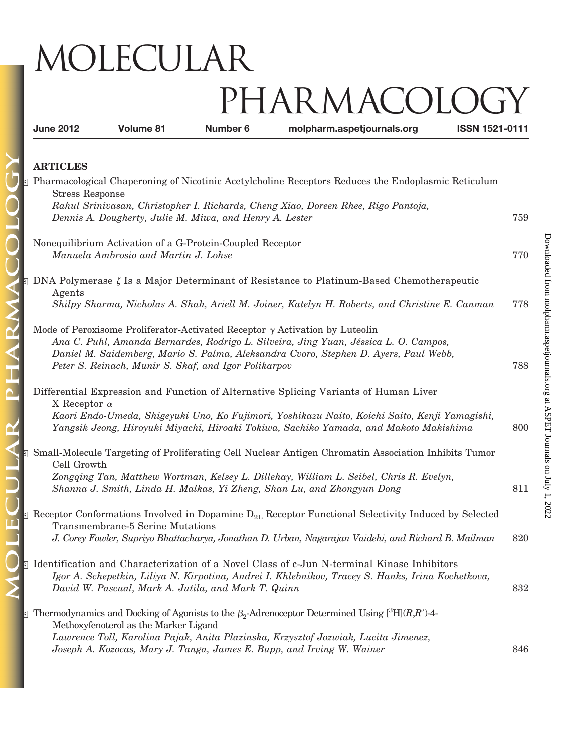## MOLECULAR PHARMACOLC

**June 2012 Volume 81 Number 6 molpharm.aspetjournals.org ISSN 1521-0111**

## **ARTICLES**

ARM

 $\overline{\mathbf{P}}$ 

 $\mathbf{\alpha}$ 

| <b>Example 18 Pharmacological Chaperoning of Nicotinic Acetylcholine Receptors Reduces the Endoplasmic Reticulum</b><br><b>Stress Response</b>                                                                                                                                                                             |     |
|----------------------------------------------------------------------------------------------------------------------------------------------------------------------------------------------------------------------------------------------------------------------------------------------------------------------------|-----|
| Rahul Srinivasan, Christopher I. Richards, Cheng Xiao, Doreen Rhee, Rigo Pantoja,<br>Dennis A. Dougherty, Julie M. Miwa, and Henry A. Lester                                                                                                                                                                               | 759 |
| Nonequilibrium Activation of a G-Protein-Coupled Receptor<br>Manuela Ambrosio and Martin J. Lohse                                                                                                                                                                                                                          | 770 |
| $\S$ DNA Polymerase $\zeta$ Is a Major Determinant of Resistance to Platinum-Based Chemotherapeutic<br>Agents                                                                                                                                                                                                              |     |
| Shilpy Sharma, Nicholas A. Shah, Ariell M. Joiner, Katelyn H. Roberts, and Christine E. Canman                                                                                                                                                                                                                             | 778 |
| Mode of Peroxisome Proliferator-Activated Receptor $\gamma$ Activation by Luteolin<br>Ana C. Puhl, Amanda Bernardes, Rodrigo L. Silveira, Jing Yuan, Jéssica L. O. Campos,<br>Daniel M. Saidemberg, Mario S. Palma, Aleksandra Cvoro, Stephen D. Ayers, Paul Webb,<br>Peter S. Reinach, Munir S. Skaf, and Igor Polikarpov | 788 |
| Differential Expression and Function of Alternative Splicing Variants of Human Liver<br>X Receptor $\alpha$<br>Kaori Endo-Umeda, Shigeyuki Uno, Ko Fujimori, Yoshikazu Naito, Koichi Saito, Kenji Yamagishi,<br>Yangsik Jeong, Hiroyuki Miyachi, Hiroaki Tokiwa, Sachiko Yamada, and Makoto Makishima                      | 800 |
| S Small-Molecule Targeting of Proliferating Cell Nuclear Antigen Chromatin Association Inhibits Tumor<br>Cell Growth<br>Zongqing Tan, Matthew Wortman, Kelsey L. Dillehay, William L. Seibel, Chris R. Evelyn,<br>Shanna J. Smith, Linda H. Malkas, Yi Zheng, Shan Lu, and Zhongyun Dong                                   | 811 |
| <b>Example 1</b> Receptor Conformations Involved in Dopamine $D_{2L}$ Receptor Functional Selectivity Induced by Selected<br>Transmembrane-5 Serine Mutations<br>J. Corey Fowler, Supriyo Bhattacharya, Jonathan D. Urban, Nagarajan Vaidehi, and Richard B. Mailman                                                       | 820 |
| S Identification and Characterization of a Novel Class of c-Jun N-terminal Kinase Inhibitors<br>Igor A. Schepetkin, Liliya N. Kirpotina, Andrei I. Khlebnikov, Tracey S. Hanks, Irina Kochetkova,<br>David W. Pascual, Mark A. Jutila, and Mark T. Quinn                                                                   | 832 |
| $\overline{\rm s}$ Thermodynamics and Docking of Agonists to the $\beta_2$ -Adrenoceptor Determined Using [ $\overline{\rm H}(R,R')$ -4-<br>Methoxyfenoterol as the Marker Ligand                                                                                                                                          |     |
| Lawrence Toll, Karolina Pajak, Anita Plazinska, Krzysztof Jozwiak, Lucita Jimenez,<br>Joseph A. Kozocas, Mary J. Tanga, James E. Bupp, and Irving W. Wainer                                                                                                                                                                | 846 |